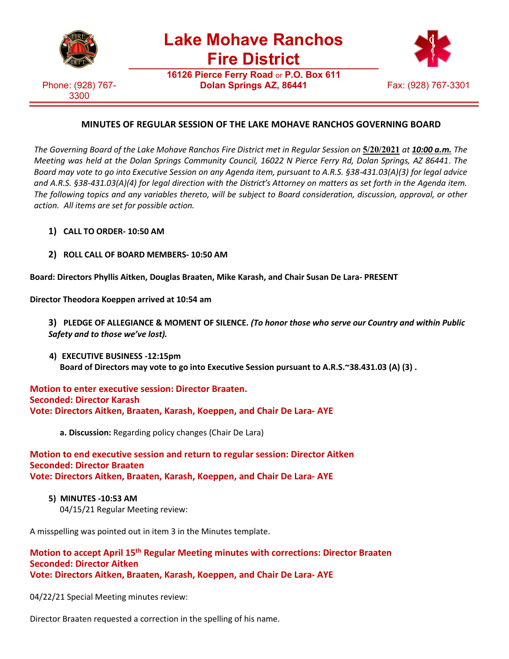

**Lake Mohave Ranchos Fire District**

Phone: (928) 767- 3300

**16126 Pierce Ferry Road** or **P.O. Box 611 Dolan Springs AZ, 86441** Fax: (928) 767-3301



## **MINUTES OF REGULAR SESSION OF THE LAKE MOHAVE RANCHOS GOVERNING BOARD**

The Governing Board of the Lake Mohave Ranchos Fire District met in Regular Session on 5/20/2021 at 10:00 a.m. The *Meeting was held at the Dolan Springs Community Council, 16022 N Pierce Ferry Rd, Dolan Springs, AZ 86441*. *The Board may vote to go into Executive Session on any Agenda item, pursuant to A.R.S. §38-431.03(A)(3) for legal advice and A.R.S. §38-431.03(A)(4) for legal direction with the District's Attorney on matters as set forth in the Agenda item. The following topics and any variables thereto, will be subject to Board consideration, discussion, approval, or other action. All items are set for possible action.*

- **1) CALL TO ORDER- 10:50 AM**
- **2) ROLL CALL OF BOARD MEMBERS- 10:50 AM**

**Board: Directors Phyllis Aitken, Douglas Braaten, Mike Karash, and Chair Susan De Lara- PRESENT**

**Director Theodora Koeppen arrived at 10:54 am**

**3) PLEDGE OF ALLEGIANCE & MOMENT OF SILENCE.** *(To honor those who serve our Country and within Public Safety and to those we've lost).*

**4) EXECUTIVE BUSINESS -12:15pm Board of Directors may vote to go into Executive Session pursuant to A.R.S.~38.431.03 (A) (3) .**

### **Motion to enter executive session: Director Braaten. Seconded: Director Karash Vote: Directors Aitken, Braaten, Karash, Koeppen, and Chair De Lara- AYE**

**a. Discussion:** Regarding policy changes (Chair De Lara)

### **Motion to end executive session and return to regular session: Director Aitken Seconded: Director Braaten Vote: Directors Aitken, Braaten, Karash, Koeppen, and Chair De Lara- AYE**

 **5) MINUTES -10:53 AM** 04/15/21 Regular Meeting review:

A misspelling was pointed out in item 3 in the Minutes template.

### **Motion to accept April 15th Regular Meeting minutes with corrections: Director Braaten Seconded: Director Aitken Vote: Directors Aitken, Braaten, Karash, Koeppen, and Chair De Lara- AYE**

04/22/21 Special Meeting minutes review:

Director Braaten requested a correction in the spelling of his name.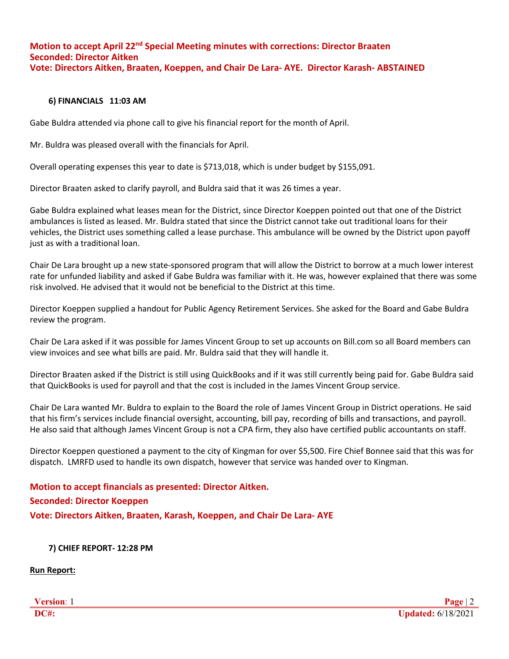## **Motion to accept April 22nd Special Meeting minutes with corrections: Director Braaten Seconded: Director Aitken Vote: Directors Aitken, Braaten, Koeppen, and Chair De Lara- AYE. Director Karash- ABSTAINED**

#### **6) FINANCIALS 11:03 AM**

Gabe Buldra attended via phone call to give his financial report for the month of April.

Mr. Buldra was pleased overall with the financials for April.

Overall operating expenses this year to date is \$713,018, which is under budget by \$155,091.

Director Braaten asked to clarify payroll, and Buldra said that it was 26 times a year.

Gabe Buldra explained what leases mean for the District, since Director Koeppen pointed out that one of the District ambulances is listed as leased. Mr. Buldra stated that since the District cannot take out traditional loans for their vehicles, the District uses something called a lease purchase. This ambulance will be owned by the District upon payoff just as with a traditional loan.

Chair De Lara brought up a new state-sponsored program that will allow the District to borrow at a much lower interest rate for unfunded liability and asked if Gabe Buldra was familiar with it. He was, however explained that there was some risk involved. He advised that it would not be beneficial to the District at this time.

Director Koeppen supplied a handout for Public Agency Retirement Services. She asked for the Board and Gabe Buldra review the program.

Chair De Lara asked if it was possible for James Vincent Group to set up accounts on Bill.com so all Board members can view invoices and see what bills are paid. Mr. Buldra said that they will handle it.

Director Braaten asked if the District is still using QuickBooks and if it was still currently being paid for. Gabe Buldra said that QuickBooks is used for payroll and that the cost is included in the James Vincent Group service.

Chair De Lara wanted Mr. Buldra to explain to the Board the role of James Vincent Group in District operations. He said that his firm's services include financial oversight, accounting, bill pay, recording of bills and transactions, and payroll. He also said that although James Vincent Group is not a CPA firm, they also have certified public accountants on staff.

Director Koeppen questioned a payment to the city of Kingman for over \$5,500. Fire Chief Bonnee said that this was for dispatch. LMRFD used to handle its own dispatch, however that service was handed over to Kingman.

# **Motion to accept financials as presented: Director Aitken. Seconded: Director Koeppen Vote: Directors Aitken, Braaten, Karash, Koeppen, and Chair De Lara- AYE**

 **7) CHIEF REPORT- 12:28 PM**

**Run Report:**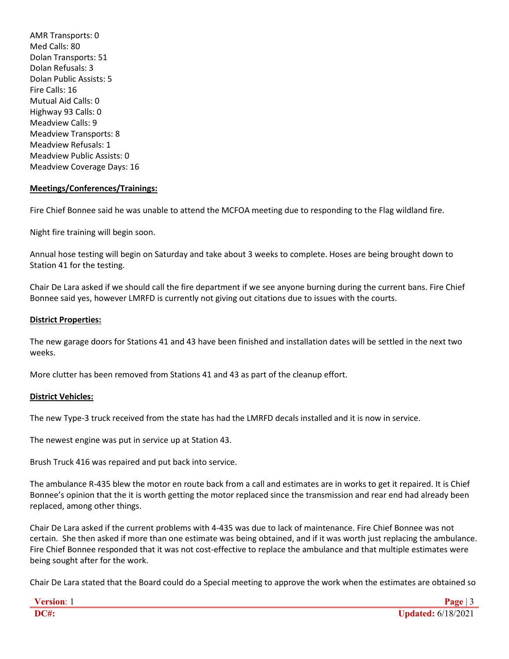AMR Transports: 0 Med Calls: 80 Dolan Transports: 51 Dolan Refusals: 3 Dolan Public Assists: 5 Fire Calls: 16 Mutual Aid Calls: 0 Highway 93 Calls: 0 Meadview Calls: 9 Meadview Transports: 8 Meadview Refusals: 1 Meadview Public Assists: 0 Meadview Coverage Days: 16

### **Meetings/Conferences/Trainings:**

Fire Chief Bonnee said he was unable to attend the MCFOA meeting due to responding to the Flag wildland fire.

Night fire training will begin soon.

Annual hose testing will begin on Saturday and take about 3 weeks to complete. Hoses are being brought down to Station 41 for the testing.

Chair De Lara asked if we should call the fire department if we see anyone burning during the current bans. Fire Chief Bonnee said yes, however LMRFD is currently not giving out citations due to issues with the courts.

#### **District Properties:**

The new garage doors for Stations 41 and 43 have been finished and installation dates will be settled in the next two weeks.

More clutter has been removed from Stations 41 and 43 as part of the cleanup effort.

### **District Vehicles:**

The new Type-3 truck received from the state has had the LMRFD decals installed and it is now in service.

The newest engine was put in service up at Station 43.

Brush Truck 416 was repaired and put back into service.

The ambulance R-435 blew the motor en route back from a call and estimates are in works to get it repaired. It is Chief Bonnee's opinion that the it is worth getting the motor replaced since the transmission and rear end had already been replaced, among other things.

Chair De Lara asked if the current problems with 4-435 was due to lack of maintenance. Fire Chief Bonnee was not certain. She then asked if more than one estimate was being obtained, and if it was worth just replacing the ambulance. Fire Chief Bonnee responded that it was not cost-effective to replace the ambulance and that multiple estimates were being sought after for the work.

Chair De Lara stated that the Board could do a Special meeting to approve the work when the estimates are obtained so

| - OPSIAP |                    |
|----------|--------------------|
| DC#      | Updated: 6/18/2021 |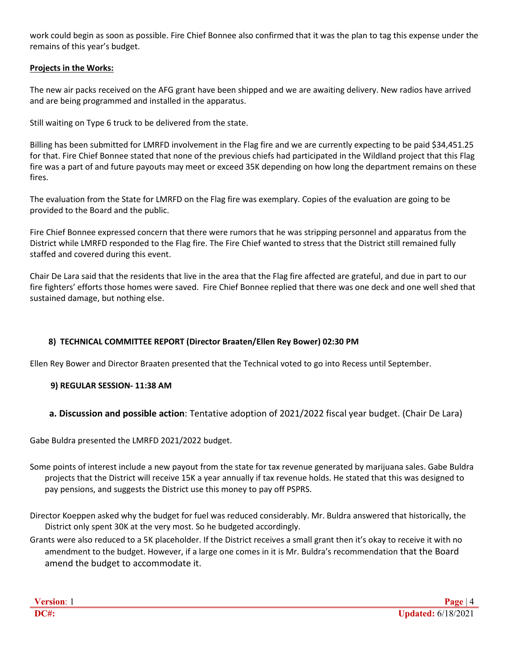work could begin as soon as possible. Fire Chief Bonnee also confirmed that it was the plan to tag this expense under the remains of this year's budget.

## **Projects in the Works:**

The new air packs received on the AFG grant have been shipped and we are awaiting delivery. New radios have arrived and are being programmed and installed in the apparatus.

Still waiting on Type 6 truck to be delivered from the state.

Billing has been submitted for LMRFD involvement in the Flag fire and we are currently expecting to be paid \$34,451.25 for that. Fire Chief Bonnee stated that none of the previous chiefs had participated in the Wildland project that this Flag fire was a part of and future payouts may meet or exceed 35K depending on how long the department remains on these fires.

The evaluation from the State for LMRFD on the Flag fire was exemplary. Copies of the evaluation are going to be provided to the Board and the public.

Fire Chief Bonnee expressed concern that there were rumors that he was stripping personnel and apparatus from the District while LMRFD responded to the Flag fire. The Fire Chief wanted to stress that the District still remained fully staffed and covered during this event.

Chair De Lara said that the residents that live in the area that the Flag fire affected are grateful, and due in part to our fire fighters' efforts those homes were saved. Fire Chief Bonnee replied that there was one deck and one well shed that sustained damage, but nothing else.

## **8) TECHNICAL COMMITTEE REPORT (Director Braaten/Ellen Rey Bower) 02:30 PM**

Ellen Rey Bower and Director Braaten presented that the Technical voted to go into Recess until September.

## **9) REGULAR SESSION- 11:38 AM**

## **a. Discussion and possible action**: Tentative adoption of 2021/2022 fiscal year budget. (Chair De Lara)

Gabe Buldra presented the LMRFD 2021/2022 budget.

- Some points of interest include a new payout from the state for tax revenue generated by marijuana sales. Gabe Buldra projects that the District will receive 15K a year annually if tax revenue holds. He stated that this was designed to pay pensions, and suggests the District use this money to pay off PSPRS.
- Director Koeppen asked why the budget for fuel was reduced considerably. Mr. Buldra answered that historically, the District only spent 30K at the very most. So he budgeted accordingly.
- Grants were also reduced to a 5K placeholder. If the District receives a small grant then it's okay to receive it with no amendment to the budget. However, if a large one comes in it is Mr. Buldra's recommendation that the Board amend the budget to accommodate it.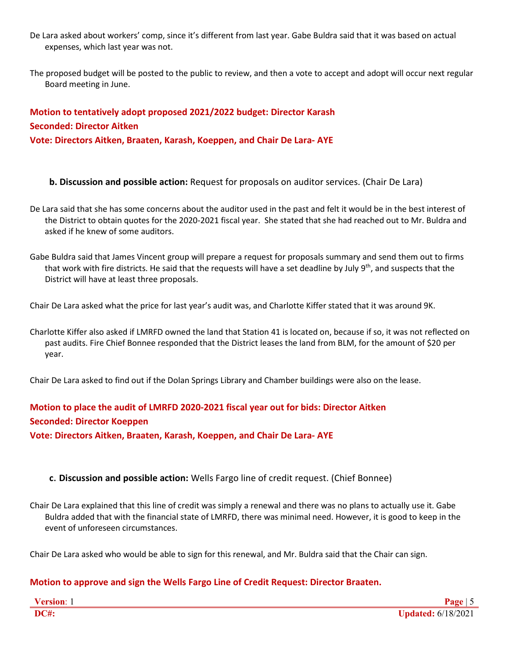- De Lara asked about workers' comp, since it's different from last year. Gabe Buldra said that it was based on actual expenses, which last year was not.
- The proposed budget will be posted to the public to review, and then a vote to accept and adopt will occur next regular Board meeting in June.

## **Motion to tentatively adopt proposed 2021/2022 budget: Director Karash Seconded: Director Aitken Vote: Directors Aitken, Braaten, Karash, Koeppen, and Chair De Lara- AYE**

**b. Discussion and possible action:** Request for proposals on auditor services. (Chair De Lara)

- De Lara said that she has some concerns about the auditor used in the past and felt it would be in the best interest of the District to obtain quotes for the 2020-2021 fiscal year. She stated that she had reached out to Mr. Buldra and asked if he knew of some auditors.
- Gabe Buldra said that James Vincent group will prepare a request for proposals summary and send them out to firms that work with fire districts. He said that the requests will have a set deadline by July  $9^{th}$ , and suspects that the District will have at least three proposals.

Chair De Lara asked what the price for last year's audit was, and Charlotte Kiffer stated that it was around 9K.

Charlotte Kiffer also asked if LMRFD owned the land that Station 41 is located on, because if so, it was not reflected on past audits. Fire Chief Bonnee responded that the District leases the land from BLM, for the amount of \$20 per year.

Chair De Lara asked to find out if the Dolan Springs Library and Chamber buildings were also on the lease.

# **Motion to place the audit of LMRFD 2020-2021 fiscal year out for bids: Director Aitken Seconded: Director Koeppen**

**Vote: Directors Aitken, Braaten, Karash, Koeppen, and Chair De Lara- AYE**

## **c**. **Discussion and possible action:** Wells Fargo line of credit request. (Chief Bonnee)

Chair De Lara explained that this line of credit was simply a renewal and there was no plans to actually use it. Gabe Buldra added that with the financial state of LMRFD, there was minimal need. However, it is good to keep in the event of unforeseen circumstances.

Chair De Lara asked who would be able to sign for this renewal, and Mr. Buldra said that the Chair can sign.

## **Motion to approve and sign the Wells Fargo Line of Credit Request: Director Braaten.**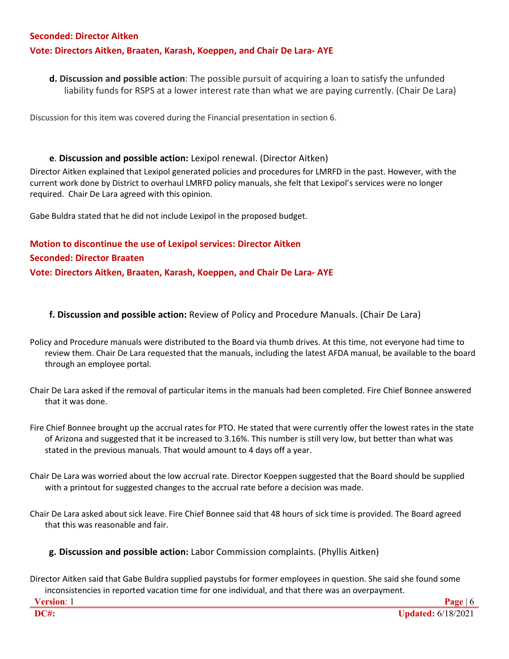### **Seconded: Director Aitken**

## **Vote: Directors Aitken, Braaten, Karash, Koeppen, and Chair De Lara- AYE**

**d. Discussion and possible action**: The possible pursuit of acquiring a loan to satisfy the unfunded liability funds for RSPS at a lower interest rate than what we are paying currently. (Chair De Lara)

Discussion for this item was covered during the Financial presentation in section 6.

### **e**. **Discussion and possible action:** Lexipol renewal. (Director Aitken)

Director Aitken explained that Lexipol generated policies and procedures for LMRFD in the past. However, with the current work done by District to overhaul LMRFD policy manuals, she felt that Lexipol's services were no longer required. Chair De Lara agreed with this opinion.

Gabe Buldra stated that he did not include Lexipol in the proposed budget.

# **Motion to discontinue the use of Lexipol services: Director Aitken Seconded: Director Braaten Vote: Directors Aitken, Braaten, Karash, Koeppen, and Chair De Lara- AYE**

### **f. Discussion and possible action:** Review of Policy and Procedure Manuals. (Chair De Lara)

- Policy and Procedure manuals were distributed to the Board via thumb drives. At this time, not everyone had time to review them. Chair De Lara requested that the manuals, including the latest AFDA manual, be available to the board through an employee portal.
- Chair De Lara asked if the removal of particular items in the manuals had been completed. Fire Chief Bonnee answered that it was done.
- Fire Chief Bonnee brought up the accrual rates for PTO. He stated that were currently offer the lowest rates in the state of Arizona and suggested that it be increased to 3.16%. This number is still very low, but better than what was stated in the previous manuals. That would amount to 4 days off a year.
- Chair De Lara was worried about the low accrual rate. Director Koeppen suggested that the Board should be supplied with a printout for suggested changes to the accrual rate before a decision was made.
- Chair De Lara asked about sick leave. Fire Chief Bonnee said that 48 hours of sick time is provided. The Board agreed that this was reasonable and fair.
	- **g. Discussion and possible action:** Labor Commission complaints. (Phyllis Aitken)

Director Aitken said that Gabe Buldra supplied paystubs for former employees in question. She said she found some inconsistencies in reported vacation time for one individual, and that there was an overpayment.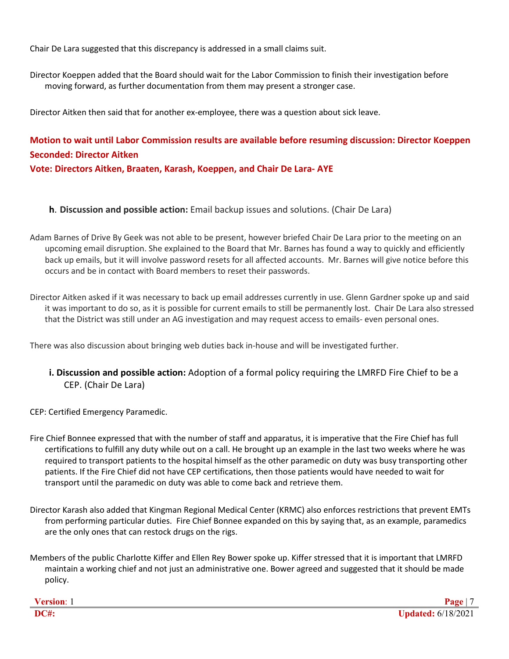Chair De Lara suggested that this discrepancy is addressed in a small claims suit.

Director Koeppen added that the Board should wait for the Labor Commission to finish their investigation before moving forward, as further documentation from them may present a stronger case.

Director Aitken then said that for another ex-employee, there was a question about sick leave.

# **Motion to wait until Labor Commission results are available before resuming discussion: Director Koeppen Seconded: Director Aitken Vote: Directors Aitken, Braaten, Karash, Koeppen, and Chair De Lara- AYE**

- **h**. **Discussion and possible action:** Email backup issues and solutions. (Chair De Lara)
- Adam Barnes of Drive By Geek was not able to be present, however briefed Chair De Lara prior to the meeting on an upcoming email disruption. She explained to the Board that Mr. Barnes has found a way to quickly and efficiently back up emails, but it will involve password resets for all affected accounts. Mr. Barnes will give notice before this occurs and be in contact with Board members to reset their passwords.

Director Aitken asked if it was necessary to back up email addresses currently in use. Glenn Gardner spoke up and said it was important to do so, as it is possible for current emails to still be permanently lost. Chair De Lara also stressed that the District was still under an AG investigation and may request access to emails- even personal ones.

There was also discussion about bringing web duties back in-house and will be investigated further.

- **i. Discussion and possible action:** Adoption of a formal policy requiring the LMRFD Fire Chief to be a CEP. (Chair De Lara)
- CEP: Certified Emergency Paramedic.
- Fire Chief Bonnee expressed that with the number of staff and apparatus, it is imperative that the Fire Chief has full certifications to fulfill any duty while out on a call. He brought up an example in the last two weeks where he was required to transport patients to the hospital himself as the other paramedic on duty was busy transporting other patients. If the Fire Chief did not have CEP certifications, then those patients would have needed to wait for transport until the paramedic on duty was able to come back and retrieve them.
- Director Karash also added that Kingman Regional Medical Center (KRMC) also enforces restrictions that prevent EMTs from performing particular duties. Fire Chief Bonnee expanded on this by saying that, as an example, paramedics are the only ones that can restock drugs on the rigs.
- Members of the public Charlotte Kiffer and Ellen Rey Bower spoke up. Kiffer stressed that it is important that LMRFD maintain a working chief and not just an administrative one. Bower agreed and suggested that it should be made policy.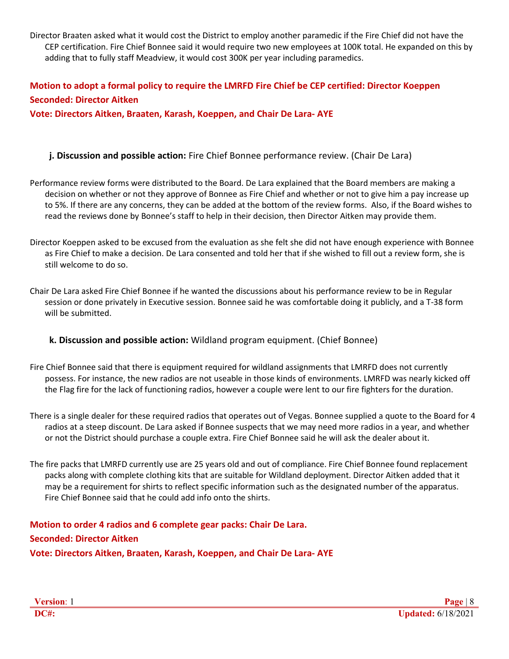Director Braaten asked what it would cost the District to employ another paramedic if the Fire Chief did not have the CEP certification. Fire Chief Bonnee said it would require two new employees at 100K total. He expanded on this by adding that to fully staff Meadview, it would cost 300K per year including paramedics.

# **Motion to adopt a formal policy to require the LMRFD Fire Chief be CEP certified: Director Koeppen Seconded: Director Aitken**

**Vote: Directors Aitken, Braaten, Karash, Koeppen, and Chair De Lara- AYE**

## **j. Discussion and possible action:** Fire Chief Bonnee performance review. (Chair De Lara)

- Performance review forms were distributed to the Board. De Lara explained that the Board members are making a decision on whether or not they approve of Bonnee as Fire Chief and whether or not to give him a pay increase up to 5%. If there are any concerns, they can be added at the bottom of the review forms. Also, if the Board wishes to read the reviews done by Bonnee's staff to help in their decision, then Director Aitken may provide them.
- Director Koeppen asked to be excused from the evaluation as she felt she did not have enough experience with Bonnee as Fire Chief to make a decision. De Lara consented and told her that if she wished to fill out a review form, she is still welcome to do so.
- Chair De Lara asked Fire Chief Bonnee if he wanted the discussions about his performance review to be in Regular session or done privately in Executive session. Bonnee said he was comfortable doing it publicly, and a T-38 form will be submitted.

## **k. Discussion and possible action:** Wildland program equipment. (Chief Bonnee)

- Fire Chief Bonnee said that there is equipment required for wildland assignments that LMRFD does not currently possess. For instance, the new radios are not useable in those kinds of environments. LMRFD was nearly kicked off the Flag fire for the lack of functioning radios, however a couple were lent to our fire fighters for the duration.
- There is a single dealer for these required radios that operates out of Vegas. Bonnee supplied a quote to the Board for 4 radios at a steep discount. De Lara asked if Bonnee suspects that we may need more radios in a year, and whether or not the District should purchase a couple extra. Fire Chief Bonnee said he will ask the dealer about it.
- The fire packs that LMRFD currently use are 25 years old and out of compliance. Fire Chief Bonnee found replacement packs along with complete clothing kits that are suitable for Wildland deployment. Director Aitken added that it may be a requirement for shirts to reflect specific information such as the designated number of the apparatus. Fire Chief Bonnee said that he could add info onto the shirts.

## **Motion to order 4 radios and 6 complete gear packs: Chair De Lara. Seconded: Director Aitken Vote: Directors Aitken, Braaten, Karash, Koeppen, and Chair De Lara- AYE**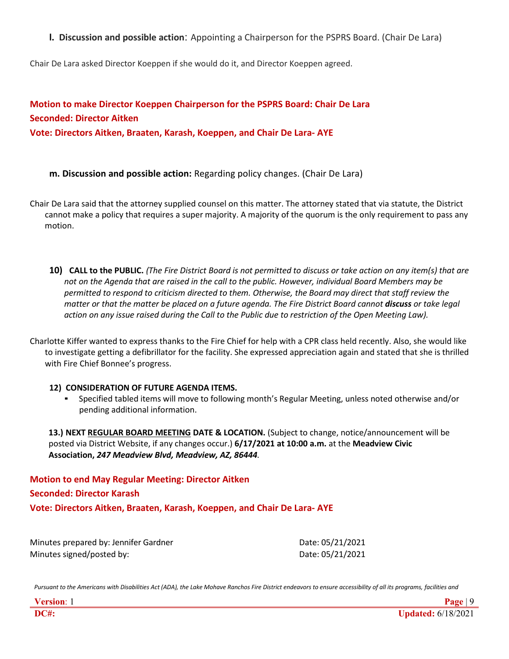**l. Discussion and possible action**: Appointing a Chairperson for the PSPRS Board. (Chair De Lara)

Chair De Lara asked Director Koeppen if she would do it, and Director Koeppen agreed.

**Motion to make Director Koeppen Chairperson for the PSPRS Board: Chair De Lara Seconded: Director Aitken Vote: Directors Aitken, Braaten, Karash, Koeppen, and Chair De Lara- AYE**

- **m. Discussion and possible action:** Regarding policy changes. (Chair De Lara)
- Chair De Lara said that the attorney supplied counsel on this matter. The attorney stated that via statute, the District cannot make a policy that requires a super majority. A majority of the quorum is the only requirement to pass any motion.
	- 10) CALL to the PUBLIC. (The Fire District Board is not permitted to discuss or take action on any item(s) that are *not on the Agenda that are raised in the call to the public. However, individual Board Members may be permitted to respond to criticism directed to them. Otherwise, the Board may direct that staff review the matter or that the matter be placed on a future agenda. The Fire District Board cannot discuss or take legal action on any issue raised during the Call to the Public due to restriction of the Open Meeting Law).*

Charlotte Kiffer wanted to express thanks to the Fire Chief for help with a CPR class held recently. Also, she would like to investigate getting a defibrillator for the facility. She expressed appreciation again and stated that she is thrilled with Fire Chief Bonnee's progress.

## **12) CONSIDERATION OF FUTURE AGENDA ITEMS.**

Specified tabled items will move to following month's Regular Meeting, unless noted otherwise and/or pending additional information.

**13.) NEXT REGULAR BOARD MEETING DATE & LOCATION.** (Subject to change, notice/announcement will be posted via District Website, if any changes occur.) **6/17/2021 at 10:00 a.m.** at the **Meadview Civic Association,** *247 Meadview Blvd, Meadview, AZ, 86444.*

**Motion to end May Regular Meeting: Director Aitken Seconded: Director Karash Vote: Directors Aitken, Braaten, Karash, Koeppen, and Chair De Lara- AYE**

Minutes prepared by: Jennifer Gardner **Date: 05/21/2021** Minutes signed/posted by:  $Date: 05/21/2021$ 

Pursuant to the Americans with Disabilities Act (ADA), the Lake Mohave Ranchos Fire District endeavors to ensure accessibility of all its programs, facilities and